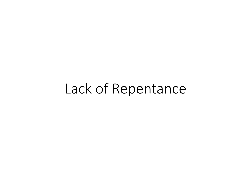# Lack of Repentance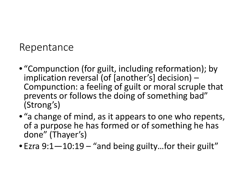#### Repentance

- "Compunction (for guilt, including reformation); by<br>implication reversal (of [another's] decision) Compunction: a feeling of guilt or moral scruple that prevents or follows the doing of something bad" (Strong's)
- "a change of mind, as it appears to one who repents, of a purpose he has formed or of something he has done" (Thayer's)
- Ezra 9:1–10:19 "and being guilty...for their guilt"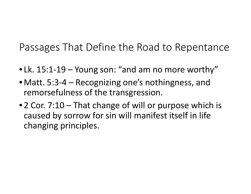Passages That Define the Road to Repentance

- Lk. 15:1-19 Young son: "and am no more worthy"
- Matt. 5:3-4 Recognizing one's nothingness, and remorsefulness of the transgression.
- 2 Cor. 7:10 That change of will or purpose which is caused by sorrow for sin will manifest itself in life changing principles.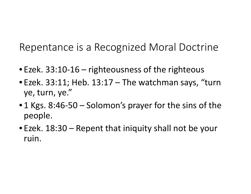Repentance is a Recognized Moral Doctrine

- Ezek. 33:10-16 righteousness of the righteous
- Ezek. 33:11; Heb. 13:17 The watchman says, "turn ye, turn, ye."
- 1 Kgs. 8:46-50 Solomon's prayer for the sins of the people.
- Ezek. 18:30 Repent that iniquity shall not be your ruin.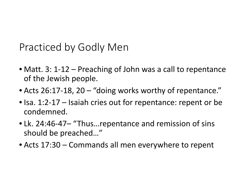Practiced by Godly Men

- Matt. 3: 1-12 Preaching of John was a call to repentance of the Jewish people.
- Acts 26:17-18, 20 "doing works worthy of repentance."
- Isa. 1:2-17 Isaiah cries out for repentance: repent or be condemned.
- Lk. 24:46-47– "Thus…repentance and remission of sins should be preached…"
- Acts 17:30 Commands all men everywhere to repent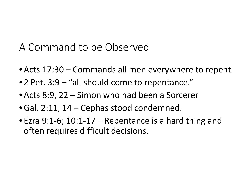#### A Command to be Observed

- Acts 17:30 Commands all men everywhere to repent
- 2 Pet. 3:9 "all should come to repentance."
- Acts 8:9, 22 Simon who had been a Sorcerer
- •Gal. 2:11, 14 Cephas stood condemned.
- Ezra 9:1-6; 10:1-17 Repentance is a hard thing and often requires difficult decisions.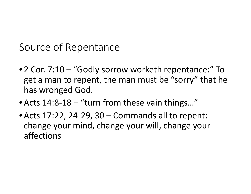Source of Repentance

- 2 Cor. 7:10 "Godly sorrow worketh repentance:" To get a man to repent, the man must be "sorry" that he has wronged God.
- Acts 14:8-18 "turn from these vain things..."
- Acts 17:22, 24-29, 30 Commands all to repent: change your mind, change your will, change your affections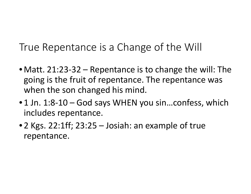True Repentance is a Change of the Will

- Matt. 21:23-32 Repentance is to change the will: The going is the fruit of repentance. The repentance was when the son changed his mind.
- 1 Jn. 1:8-10 God says WHEN you sin...confess, which includes repentance.
- 2 Kgs. 22:1ff; 23:25 Josiah: an example of true repentance.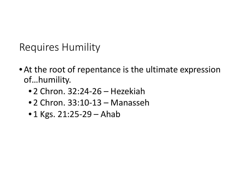Requires Humility

- At the root of repentance is the ultimate expression of…humility.
	- 2 Chron. 32:24-26 Hezekiah
	- 2 Chron. 33:10-13 Manasseh
	- 1 Kgs. 21:25-29 Ahab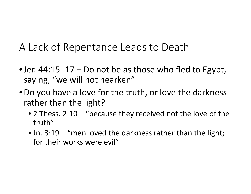A Lack of Repentance Leads to Death

- Jer. 44:15 -17 Do not be as those who fled to Egypt, saying, "we will not hearken"
- •Do you have a love for the truth, or love the darkness rather than the light?
	- 2 Thess. 2:10 "because they received not the love of the truth"
	- Jn. 3:19 "men loved the darkness rather than the light; for their works were evil"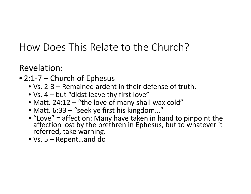- 2:1-7 Church of Ephesus
	- Vs. 2-3 Remained ardent in their defense of truth.
	- Vs. 4 but "didst leave thy first love"
	- Matt. 24:12 "the love of many shall wax cold"
	- Matt. 6:33 "seek ye first his kingdom..."
	- "Love" = affection: Many have taken in hand to pinpoint the affection lost by the brethren in Ephesus, but to whatever it referred, take warning.
	- Vs. 5 Repent…and do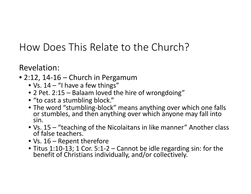- 2:12, 14-16 Church in Pergamum
	- Vs.  $14 -$  "I have a few things"
	- 2 Pet. 2:15 Balaam loved the hire of wrongdoing"
	- "to cast a stumbling block."
	- The word "stumbling-block" means anything over which one falls or stumbles, and then anything over which anyone may fall into sin.
	- Vs. 15 "teaching of the Nicolaitans in like manner" Another class of false teachers.
	- Vs. 16 Repent therefore
	- Titus 1:10-13; 1 Cor. 5:1-2 Cannot be idle regarding sin: for the benefit of Christians individually, and/or collectively.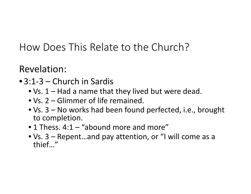- 3:1-3 Church in Sardis
	- Vs. 1 Had a name that they lived but were dead.
	- Vs. 2 Glimmer of life remained.
	- Vs. 3 No works had been found perfected, i.e., brought to completion.
	- 1 Thess. 4:1 "abound more and more"
	- Vs. 3 Repent…and pay attention, or "I will come as a thief…"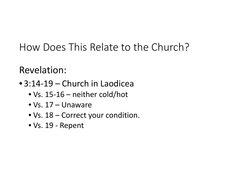- 3:14-19 Church in Laodicea
	- Vs. 15-16 neither cold/hot
	- Vs. 17 Unaware
	- Vs. 18 Correct your condition.
	- Vs. 19 Repent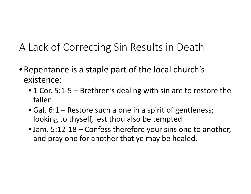## A Lack of Correcting Sin Results in Death

- Repentance is a staple part of the local church's existence:
	- 1 Cor. 5:1-5 Brethren's dealing with sin are to restore the fallen.
	- Gal. 6:1 Restore such a one in a spirit of gentleness; looking to thyself, lest thou also be tempted
	- Jam. 5:12-18 Confess therefore your sins one to another, and pray one for another that ye may be healed.